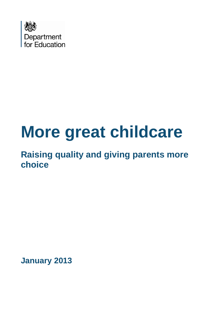

# **More great childcare**

**Raising quality and giving parents more choice**

**January 2013**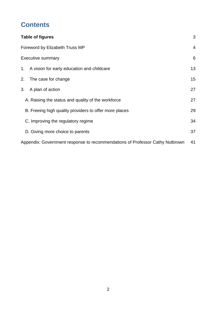# **Contents**

| Table of figures                                                             | 3  |  |  |  |  |
|------------------------------------------------------------------------------|----|--|--|--|--|
| Foreword by Elizabeth Truss MP                                               |    |  |  |  |  |
| <b>Executive summary</b>                                                     | 6  |  |  |  |  |
| 1. A vision for early education and childcare                                | 13 |  |  |  |  |
| 2.<br>The case for change                                                    | 15 |  |  |  |  |
| 3.<br>A plan of action                                                       | 27 |  |  |  |  |
| A. Raising the status and quality of the workforce                           | 27 |  |  |  |  |
| B. Freeing high quality providers to offer more places                       | 29 |  |  |  |  |
| C. Improving the regulatory regime                                           | 34 |  |  |  |  |
| D. Giving more choice to parents                                             | 37 |  |  |  |  |
| Appendix: Government response to recommendations of Professor Cathy Nutbrown | 41 |  |  |  |  |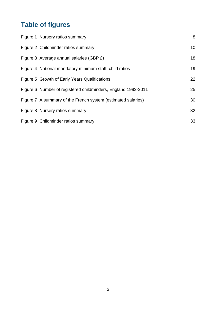# <span id="page-2-0"></span>**Table of figures**

| Figure 1 Nursery ratios summary                               | 8               |
|---------------------------------------------------------------|-----------------|
| Figure 2 Childminder ratios summary                           | 10 <sup>1</sup> |
| Figure 3 Average annual salaries (GBP £)                      | 18              |
| Figure 4 National mandatory minimum staff: child ratios       | 19              |
| Figure 5 Growth of Early Years Qualifications                 | 22              |
| Figure 6 Number of registered childminders, England 1992-2011 | 25              |
| Figure 7 A summary of the French system (estimated salaries)  | 30              |
| Figure 8 Nursery ratios summary                               | 32              |
| Figure 9 Childminder ratios summary                           | 33              |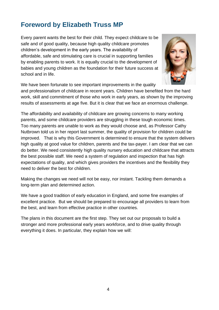# <span id="page-3-0"></span>**Foreword by Elizabeth Truss MP**

Every parent wants the best for their child. They expect childcare to be safe and of good quality, because high quality childcare promotes children's development in the early years. The availability of affordable, safe and stimulating care is crucial in supporting families by enabling parents to work. It is equally crucial to the development of babies and young children as the foundation for their future success at school and in life.



We have been fortunate to see important improvements in the quality

and professionalism of childcare in recent years. Children have benefited from the hard work, skill and commitment of those who work in early years, as shown by the improving results of assessments at age five. But it is clear that we face an enormous challenge.

The affordability and availability of childcare are growing concerns to many working parents, and some childcare providers are struggling in these tough economic times. Too many parents are unable to work as they would choose and, as Professor Cathy Nutbrown told us in her report last summer, the quality of provision for children could be improved. That is why this Government is determined to ensure that the system delivers high quality at good value for children, parents and the tax-payer. I am clear that we can do better. We need consistently high quality nursery education and childcare that attracts the best possible staff. We need a system of regulation and inspection that has high expectations of quality, and which gives providers the incentives and the flexibility they need to deliver the best for children.

Making the changes we need will not be easy, nor instant. Tackling them demands a long-term plan and determined action.

We have a good tradition of early education in England, and some fine examples of excellent practice. But we should be prepared to encourage all providers to learn from the best, and learn from effective practice in other countries.

The plans in this document are the first step. They set out our proposals to build a stronger and more professional early years workforce, and to drive quality through everything it does. In particular, they explain how we will: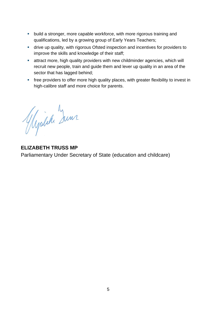- **•** build a stronger, more capable workforce, with more rigorous training and qualifications, led by a growing group of Early Years Teachers;
- drive up quality, with rigorous Ofsted inspection and incentives for providers to improve the skills and knowledge of their staff;
- attract more, high quality providers with new childminder agencies, which will recruit new people, train and guide them and lever up quality in an area of the sector that has lagged behind;
- free providers to offer more high quality places, with greater flexibility to invest in high-calibre staff and more choice for parents.

Glycich Zum.

**ELIZABETH TRUSS MP** Parliamentary Under Secretary of State (education and childcare)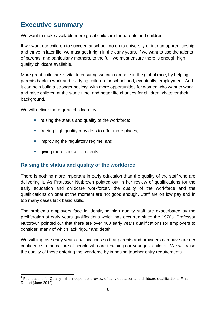# <span id="page-5-0"></span>**Executive summary**

We want to make available more great childcare for parents and children.

If we want our children to succeed at school, go on to university or into an apprenticeship and thrive in later life, we must get it right in the early years. If we want to use the talents of parents, and particularly mothers, to the full, we must ensure there is enough high quality childcare available.

More great childcare is vital to ensuring we can compete in the global race, by helping parents back to work and readying children for school and, eventually, employment. And it can help build a stronger society, with more opportunities for women who want to work and raise children at the same time, and better life chances for children whatever their background.

We will deliver more great childcare by:

- raising the status and quality of the workforce;
- **fi** freeing high quality providers to offer more places;
- **EXECUTE:** improving the regulatory regime; and
- giving more choice to parents.

## **Raising the status and quality of the workforce**

There is nothing more important in early education than the quality of the staff who are delivering it. As Professor Nutbrown pointed out in her review of qualifications for the early education and childcare workforce<sup>1</sup>, the quality of the workforce and the qualifications on offer at the moment are not good enough. Staff are on low pay and in too many cases lack basic skills.

The problems employers face in identifying high quality staff are exacerbated by the proliferation of early years qualifications which has occurred since the 1970s. Professor Nutbrown pointed out that there are over 400 early years qualifications for employers to consider, many of which lack rigour and depth.

We will improve early years qualifications so that parents and providers can have greater confidence in the calibre of people who are teaching our youngest children. We will raise the quality of those entering the workforce by imposing tougher entry requirements.

 $\overline{a}$  $1$  Foundations for Quality – the independent review of early education and childcare qualifications: Final Report (June 2012)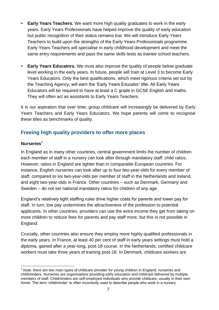- **Early Years Teachers.** We want more high quality graduates to work in the early years. Early Years Professionals have helped improve the quality of early education but public recognition of their status remains low. We will introduce Early Years Teachers to build upon the strengths of the Early Years Professionals programme. Early Years Teachers will specialise in early childhood development and meet the same entry requirements and pass the same skills tests as trainee school teachers.
- **Early Years Educators.** We must also improve the quality of people below graduate level working in the early years. In future, people will train at Level 3 to become Early Years Educators. Only the best qualifications, which meet rigorous criteria set out by the Teaching Agency, will earn the 'Early Years Educator' title. All Early Years Educators will be required to have at least a C grade in GCSE English and maths. They will often act as assistants to Early Years Teachers.

It is our aspiration that over time, group childcare will increasingly be delivered by Early Years Teachers and Early Years Educators. We hope parents will come to recognise these titles as benchmarks of quality.

## **Freeing high quality providers to offer more places**

#### **Nurseries**<sup>2</sup>

In England as in many other countries, central government limits the number of children each member of staff in a nursery can look after through mandatory staff: child ratios. However, ratios in England are tighter than in comparable European countries. For instance, English nurseries can look after up to four two-year-olds for every member of staff, compared to six two-year-olds per member of staff in the Netherlands and Ireland, and eight two-year-olds in France. Other countries – such as Denmark, Germany and Sweden – do not set national mandatory ratios for children of any age.

England's relatively tight staffing rules drive higher costs for parents and lower pay for staff. In turn, low pay undermines the attractiveness of the profession to potential applicants. In other countries, providers can use the extra income they get from taking on more children to reduce fees for parents and pay staff more, but this is not possible in England.

Crucially, other countries also ensure they employ more highly qualified professionals in the early years. In France, at least 40 per cent of staff in early years settings must hold a diploma, gained after a year-long, post-18 course. In the Netherlands, certified childcare workers must take three years of training post-18. In Denmark, childcare workers are

 $\overline{a}$  $2$  Note: there are two main types of childcare provider for young children in England: nurseries and childminders. Nurseries are organisations providing early education and childcare delivered by multiple members of staff. Childminders are self-employed individuals who provide childcare, usually in their own home. The term 'childminder' is often incorrectly used to describe people who work in a nursery.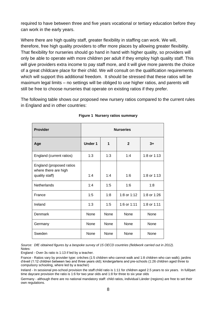required to have between three and five years vocational or tertiary education before they can work in the early years.

Where there are high quality staff, greater flexibility in staffing can work. We will, therefore, free high quality providers to offer more places by allowing greater flexibility. That flexibility for nurseries should go hand in hand with higher quality, so providers will only be able to operate with more children per adult if they employ high quality staff. This will give providers extra income to pay staff more, and it will give more parents the choice of a great childcare place for their child. We will consult on the qualification requirements which will support this additional freedom. It should be stressed that these ratios will be maximum legal limits – no settings will be obliged to use higher ratios, and parents will still be free to choose nurseries that operate on existing ratios if they prefer.

The following table shows our proposed new nursery ratios compared to the current rules in England and in other countries:

<span id="page-7-0"></span>

| <b>Provider</b>                                                    | <b>Nurseries</b> |             |              |             |  |  |
|--------------------------------------------------------------------|------------------|-------------|--------------|-------------|--|--|
| Age                                                                | <b>Under 1</b>   | 1           | $\mathbf{2}$ | $3+$        |  |  |
| England (current ratios)                                           | 1:3              | 1:3         | 1:4          | 1:8 or 1:13 |  |  |
| England (proposed ratios<br>where there are high<br>quality staff) | 1:4              | 1:4         | 1:6          | 1:8 or 1:13 |  |  |
| <b>Netherlands</b>                                                 | 1:4              | 1:5         | 1:6          | 1:8         |  |  |
| France                                                             | 1:5              | 1:8         | 1:8 or 1:12  | 1:8 or 1:26 |  |  |
| Ireland                                                            | 1:3              | 1:5         | 1:6 or 1:11  | 1:8 or 1:11 |  |  |
| Denmark                                                            | <b>None</b>      | <b>None</b> | <b>None</b>  | None        |  |  |
| Germany                                                            | <b>None</b>      | <b>None</b> | None         | None        |  |  |
| Sweden                                                             | None             | None        | None         | <b>None</b> |  |  |

#### **Figure 1 Nursery ratios summary**

*Source: DfE obtained figures by a bespoke survey of 15 OECD countries (fieldwork carried out in 2012).* Notes:

England - Over-3s ratio is 1:13 if led by a teacher.

France - Ratios vary by provider type: crèches (1:5 children who cannot walk and 1:8 children who can walk); jardins d'éveil (1:12 children between two and three years old); kindergartens and pre-schools (1:26 children aged three to compulsory schooling, where led by a teacher)

Ireland - In sessional pre-school provision the staff:child ratio is 1:11 for children aged 2.5 years to six years. In full/part time daycare provision the ratio is 1:6 for two year olds and 1:8 for three to six year olds

Germany - although there are no national mandatory staff: child ratios, individual Länder (regions) are free to set their own regulations.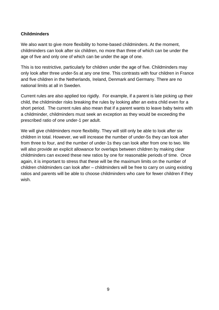#### **Childminders**

We also want to give more flexibility to home-based childminders. At the moment, childminders can look after six children, no more than three of which can be under the age of five and only one of which can be under the age of one.

This is too restrictive, particularly for children under the age of five. Childminders may only look after three under-5s at any one time. This contrasts with four children in France and five children in the Netherlands, Ireland, Denmark and Germany. There are no national limits at all in Sweden.

Current rules are also applied too rigidly. For example, if a parent is late picking up their child, the childminder risks breaking the rules by looking after an extra child even for a short period. The current rules also mean that if a parent wants to leave baby twins with a childminder, childminders must seek an exception as they would be exceeding the prescribed ratio of one under-1 per adult.

We will give childminders more flexibility. They will still only be able to look after six children in total. However, we will increase the number of under-5s they can look after from three to four, and the number of under-1s they can look after from one to two. We will also provide an explicit allowance for overlaps between children by making clear childminders can exceed these new ratios by one for reasonable periods of time. Once again, it is important to stress that these will be the maximum limits on the number of children childminders can look after – childminders will be free to carry on using existing ratios and parents will be able to choose childminders who care for fewer children if they wish.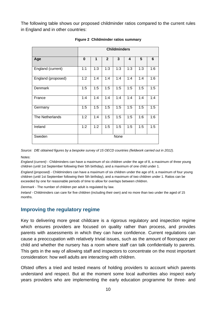The following table shows our proposed childminder ratios compared to the current rules in England and in other countries:

<span id="page-9-0"></span>

|                    | <b>Childminders</b> |     |                |      |     |     |     |
|--------------------|---------------------|-----|----------------|------|-----|-----|-----|
| Age                | 0                   | 1   | $\overline{2}$ | 3    | 4   | 5   | 6   |
| England (current)  | 1:1                 | 1:3 | 1:3            | 1:3  | 1:3 | 1:3 | 1:6 |
| England (proposed) | 1:2                 | 1:4 | 1:4            | 1:4  | 1:4 | 1:4 | 1:6 |
| Denmark            | 1:5                 | 1:5 | 1:5            | 1:5  | 1:5 | 1:5 | 1:5 |
| France             | 1:4                 | 1:4 | 1:4            | 1:4  | 1:4 | 1:4 | 1:4 |
| Germany            | 1:5                 | 1:5 | 1:5            | 1:5  | 1:5 | 1:5 | 1:5 |
| The Netherlands    | 1:2                 | 1:4 | 1:5            | 1:5  | 1:5 | 1:6 | 1:6 |
| Ireland            | 1:2                 | 1:2 | 1:5            | 1:5  | 1:5 | 1:5 | 1:5 |
| Sweden             |                     |     |                | None |     |     |     |

#### **Figure 2 Childminder ratios summary**

*Source: DfE obtained figures by a bespoke survey of 15 OECD countries (fieldwork carried out in 2012).*

Notes:

*England (current)* - Childminders can have a maximum of six children under the age of 8, a maximum of three young children (until 1st September following their 5th birthday), and a maximum of one child under 1.

*England (proposed)* - Childminders can have a maximum of six children under the age of 8, a maximum of four young children (until 1st September following their 5th birthday), and a maximum of two children under 1. Ratios can be exceeded by one for reasonable periods of time to allow for overlaps between children.

*Denmark* - The number of children per adult is regulated by law.

*Ireland* - Childminders can care for five children (including their own) and no more than two under the aged of 15 months.

#### **Improving the regulatory regime**

Key to delivering more great childcare is a rigorous regulatory and inspection regime which ensures providers are focused on quality rather than process, and provides parents with assessments in which they can have confidence. Current regulations can cause a preoccupation with relatively trivial issues, such as the amount of floorspace per child and whether the nursery has a room where staff can talk confidentially to parents. This gets in the way of allowing staff and inspectors to concentrate on the most important consideration: how well adults are interacting with children.

Ofsted offers a tried and tested means of holding providers to account which parents understand and respect. But at the moment some local authorities also inspect early years providers who are implementing the early education programme for three- and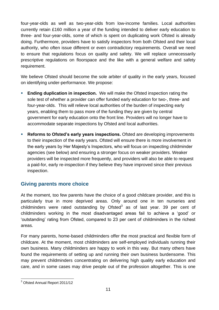four-year-olds as well as two-year-olds from low-income families. Local authorities currently retain £160 million a year of the funding intended to deliver early education to three- and four-year-olds, some of which is spent on duplicating work Ofsted is already doing. Furthermore, providers have to satisfy inspectors from both Ofsted and their local authority, who often issue different or even contradictory requirements. Overall we need to ensure that regulations focus on quality and safety. We will replace unnecessarily prescriptive regulations on floorspace and the like with a general welfare and safety requirement.

We believe Ofsted should become the sole arbiter of quality in the early years, focused on identifying under-performance. We propose:

- **Ending duplication in inspection.** We will make the Ofsted inspection rating the sole test of whether a provider can offer funded early education for two-, three- and four-year-olds. This will relieve local authorities of the burden of inspecting early years, enabling them to pass more of the funding they are given by central government for early education onto the front line. Providers will no longer have to accommodate separate inspections by Ofsted and local authorities.
- **Reforms to Ofsted's early years inspections.** Ofsted are developing improvements to their inspection of the early years. Ofsted will ensure there is more involvement in the early years by Her Majesty's Inspectors, who will focus on inspecting childminder agencies (see below) and ensuring a stronger focus on weaker providers. Weaker providers will be inspected more frequently, and providers will also be able to request a paid-for, early re-inspection if they believe they have improved since their previous inspection.

#### **Giving parents more choice**

At the moment, too few parents have the choice of a good childcare provider, and this is particularly true in more deprived areas. Only around one in ten nurseries and childminders were rated outstanding by Ofsted $3$  as of last year. 39 per cent of childminders working in the most disadvantaged areas fail to achieve a 'good' or 'outstanding' rating from Ofsted, compared to 23 per cent of childminders in the richest areas.

For many parents, home-based childminders offer the most practical and flexible form of childcare. At the moment, most childminders are self-employed individuals running their own business. Many childminders are happy to work in this way. But many others have found the requirements of setting up and running their own business burdensome. This may prevent childminders concentrating on delivering high quality early education and care, and in some cases may drive people out of the profession altogether. This is one

 $\overline{a}$ <sup>3</sup> Ofsted Annual Report 2011/12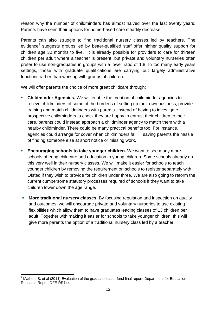reason why the number of childminders has almost halved over the last twenty years. Parents have seen their options for home-based care steadily decrease.

Parents can also struggle to find traditional nursery classes led by teachers. The evidence<sup>4</sup> suggests groups led by better-qualified staff offer higher quality support for children age 30 months to five. It is already possible for providers to care for thirteen children per adult where a teacher is present, but private and voluntary nurseries often prefer to use non-graduates in groups with a lower ratio of 1:8. In too many early years settings, those with graduate qualifications are carrying out largely administrative functions rather than working with groups of children.

We will offer parents the choice of more great childcare through:

- **Childminder Agencies.** We will enable the creation of childminder agencies to relieve childminders of some of the burdens of setting up their own business, provide training and match childminders with parents. Instead of having to investigate prospective childminders to check they are happy to entrust their children to their care, parents could instead approach a childminder agency to match them with a nearby childminder. There could be many practical benefits too. For instance, agencies could arrange for cover when childminders fall ill, saving parents the hassle of finding someone else at short notice or missing work.
- **Encouraging schools to take younger children.** We want to see many more schools offering childcare and education to young children. Some schools already do this very well in their nursery classes. We will make it easier for schools to teach younger children by removing the requirement on schools to register separately with Ofsted if they wish to provide for children under three. We are also going to reform the current cumbersome statutory processes required of schools if they want to take children lower down the age range.
- **More traditional nursery classes.** By focusing regulation and inspection on quality and outcomes, we will encourage private and voluntary nurseries to use existing flexibilities which allow them to have graduates leading classes of 13 children per adult. Together with making it easier for schools to take younger children, this will give more parents the option of a traditional nursery class led by a teacher.

 $\overline{a}$  $<sup>4</sup>$  Mathers S. et al (2011) Evaluation of the graduate leader fund final report. Department for Education.</sup> Research Report DFE-RR144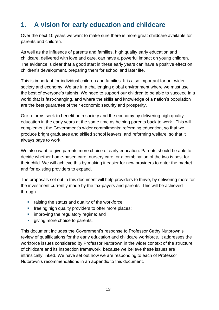# <span id="page-12-0"></span>**1. A vision for early education and childcare**

Over the next 10 years we want to make sure there is more great childcare available for parents and children.

As well as the influence of parents and families, high quality early education and childcare, delivered with love and care, can have a powerful impact on young children. The evidence is clear that a good start in these early years can have a positive effect on children's development, preparing them for school and later life.

This is important for individual children and families. It is also important for our wider society and economy. We are in a challenging global environment where we must use the best of everyone's talents. We need to support our children to be able to succeed in a world that is fast-changing, and where the skills and knowledge of a nation's population are the best guarantee of their economic security and prosperity.

Our reforms seek to benefit both society and the economy by delivering high quality education in the early years at the same time as helping parents back to work. This will complement the Government's wider commitments: reforming education, so that we produce bright graduates and skilled school leavers; and reforming welfare, so that it always pays to work.

We also want to give parents more choice of early education. Parents should be able to decide whether home-based care, nursery care, or a combination of the two is best for their child. We will achieve this by making it easier for new providers to enter the market and for existing providers to expand.

The proposals set out in this document will help providers to thrive, by delivering more for the investment currently made by the tax-payers and parents. This will be achieved through:

- **Fig. 4** raising the status and quality of the workforce;
- **fi** freeing high quality providers to offer more places;
- **EXECUTE:** improving the regulatory regime; and
- qiving more choice to parents.

This document includes the Government's response to Professor Cathy Nutbrown's review of qualifications for the early education and childcare workforce. It addresses the workforce issues considered by Professor Nutbrown in the wider context of the structure of childcare and its inspection framework, because we believe these issues are intrinsically linked. We have set out how we are responding to each of Professor Nutbrown's recommendations in an appendix to this document.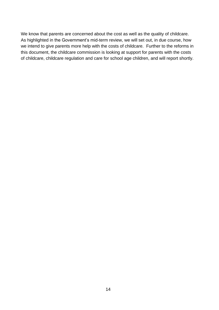We know that parents are concerned about the cost as well as the quality of childcare. As highlighted in the Government's mid-term review, we will set out, in due course, how we intend to give parents more help with the costs of childcare. Further to the reforms in this document, the childcare commission is looking at support for parents with the costs of childcare, childcare regulation and care for school age children, and will report shortly.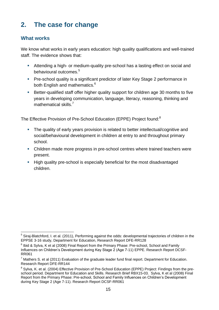# <span id="page-14-0"></span>**2. The case for change**

#### **What works**

We know what works in early years education: high quality qualifications and well-trained staff. The evidence shows that:

- Attending a high- or medium-quality pre-school has a lasting effect on social and behavioural outcomes.<sup>5</sup>
- **Pre-school quality is a significant predictor of later Key Stage 2 performance in** both English and mathematics.<sup>6</sup>
- Better-qualified staff offer higher quality support for children age 30 months to five years in developing communication, language, literacy, reasoning, thinking and mathematical skills.<sup>7</sup>

The Effective Provision of Pre-School Education (EPPE) Project found:<sup>8</sup>

- The quality of early years provision is related to better intellectual/cognitive and social/behavioural development in children at entry to and throughout primary school.
- Children made more progress in pre-school centres where trained teachers were present.
- High quality pre-school is especially beneficial for the most disadvantaged children.

 $\overline{a}$ <sup>5</sup> Siraj-Blatchford, I. et al. (2011), Performing against the odds: developmental trajectories of children in the EPPSE 3-16 study, Department for Education, Research Report DFE-RR128

 $^6$  Ibid & Sylva, K et al (2008) Final Report from the Primary Phase: Pre-school, School and Family Influences on Children's Development during Key Stage 2 (Age 7-11) EPPE. Research Report DCSF-RR061

 $<sup>7</sup>$  Mathers S. et al (2011) Evaluation of the graduate leader fund final report. Department for Education.</sup> Research Report DFE-RR144

<sup>&</sup>lt;sup>8</sup> Sylva, K. et al. (2004) Effective Provision of Pre-School Education (EPPE) Project: Findings from the preschool period. Department for Education and Skills. Research Brief RBX15-03. Sylva, K et al (2008) Final Report from the Primary Phase: Pre-school, School and Family Influences on Children's Development during Key Stage 2 (Age 7-11). Research Report DCSF-RR061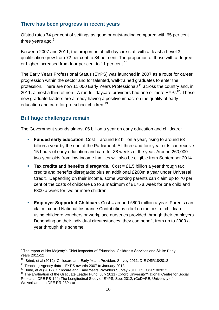### **There has been progress in recent years**

Ofsted rates 74 per cent of settings as good or outstanding compared with 65 per cent three years ago.<sup>9</sup>

Between 2007 and 2011, the proportion of full daycare staff with at least a Level 3 qualification grew from 72 per cent to 84 per cent. The proportion of those with a degree or higher increased from four per cent to 11 per cent.<sup>10</sup>

The Early Years Professional Status (EYPS) was launched in 2007 as a route for career progression within the sector and for talented, well-trained graduates to enter the profession. There are now 11,000 Early Years Professionals<sup>11</sup> across the country and, in 2011, almost a third of non-LA run full daycare providers had one or more  $EYPs^{12}$ . These new graduate leaders are already having a positive impact on the quality of early education and care for pre-school children.<sup>13</sup>

## **But huge challenges remain**

The Government spends almost £5 billion a year on early education and childcare:

- **Funded early education.** Cost = around £2 billion a year, rising to around £3 billion a year by the end of the Parliament. All three and four year olds can receive 15 hours of early education and care for 38 weeks of the year. Around 260,000 two-year-olds from low-income families will also be eligible from September 2014.
- **Tax credits and benefits disregards.** Cost = £1.5 billion a year through tax credits and benefits disregards; plus an additional £200m a year under Universal Credit. Depending on their income, some working parents can claim up to 70 per cent of the costs of childcare up to a maximum of £175 a week for one child and £300 a week for two or more children.
- **Employer Supported Childcare.** Cost = around £800 million a year. Parents can claim tax and National Insurance Contributions relief on the cost of childcare, using childcare vouchers or workplace nurseries provided through their employers. Depending on their individual circumstances, they can benefit from up to £900 a year through this scheme.

 $\overline{a}$ <sup>9</sup> The report of Her Majesty's Chief Inspector of Education, Children's Services and Skills: Early years 2011/12

<sup>&</sup>lt;sup>10</sup> Brind, et al (2012) Childcare and Early Years Providers Survey 2011. DfE OSR18/2012

 $11$  Teaching Agency data – EYPS awards 2007 to January 2013

<sup>&</sup>lt;sup>12</sup> Brind, et al (2012) Childcare and Early Years Providers Survey 2011. DfE OSR18/2012

<sup>&</sup>lt;sup>13</sup> The Evaluation of the Graduate Leader Fund, July 2011 (Oxford University/National Centre for Social Research DFE RB-144) The Longitudinal Study of EYPS, Sept 2012, (CeDARE, University of Wolverhampton DFE RR-239a-c)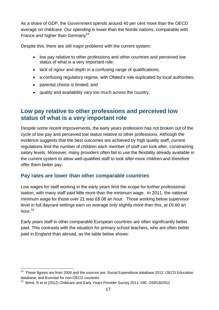As a share of GDP, the Government spends around 40 per cent more than the OECD average on childcare. Our spending is lower than the Nordic nations, comparable with France and higher than Germany<sup>14</sup>.

Despite this, there are still major problems with the current system:

- low pay relative to other professions and other countries and perceived low status of what is a very important role;
- lack of rigour and depth in a confusing range of qualifications;
- a confusing regulatory regime, with Ofsted's role duplicated by local authorities;
- parental choice is limited; and
- quality and availability vary too much across the country.

## **Low pay relative to other professions and perceived low status of what is a very important role**

Despite some recent improvements, the early years profession has not broken out of the cycle of low pay and perceived low status relative to other professions. Although the evidence suggests that the best outcomes are achieved by high quality staff, current regulations limit the number of children each member of staff can look after, constraining salary levels. Moreover, many providers often fail to use the flexibility already available in the current system to allow well-qualified staff to look after more children and therefore offer them better pay.

#### **Pay rates are lower than other comparable countries**

Low wages for staff working in the early years limit the scope for further professionalisation, with many staff paid little more than the minimum wage. In 2011, the national minimum wage for those over 21 was £6.08 an hour. Those working below supervisor level in full daycare settings earn on average only slightly more than this, at £6.60 an hour.<sup>15</sup>

Early years staff in other comparable European countries are often significantly better paid. This contrasts with the situation for primary school teachers, who are often better paid in England than abroad, as the table below shows:

 $\overline{a}$ <sup>14</sup> These figures are from 2009 and the sources are: Social Expenditure database 2012; OECD Education database; and Eurostat for non-OECD countries

<sup>&</sup>lt;sup>15</sup> Brind, R et al (2012) Childcare and Early Years Provider Survey 2011. DfE. OSR18/2012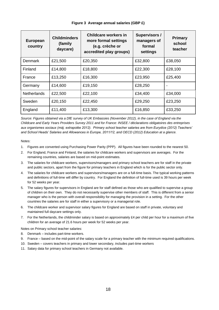<span id="page-17-0"></span>

| <b>European</b><br>country | <b>Childminders</b><br>(family<br>daycare) | <b>Childcare workers in</b><br>more formal settings<br>(e.g. crèche or<br>accredited play groups) | Supervisors /<br>managers of<br>formal<br>settings | Primary<br>school<br>teacher |
|----------------------------|--------------------------------------------|---------------------------------------------------------------------------------------------------|----------------------------------------------------|------------------------------|
| <b>Denmark</b>             | £21,500                                    | £20,350                                                                                           | £32,800                                            | £38,050                      |
| Finland                    | £14,800                                    | £18,800                                                                                           | £22,300                                            | £28,100                      |
| France                     | £13,250                                    | £16,300                                                                                           | £23,950                                            | £25,400                      |
| Germany                    | £14,600                                    | £19,150                                                                                           | £28,250                                            | $\overline{\phantom{a}}$     |
| <b>Netherlands</b>         | £22,500                                    | £22,100                                                                                           | £34,400                                            | £34,000                      |
| Sweden                     | £20,150                                    | £22,450                                                                                           | £29,250                                            | £23,250                      |
| England                    | £11,400                                    | £13,300                                                                                           | £16,850                                            | £33,250                      |

**Figure 3 Average annual salaries (GBP £)**

*Source: Figures obtained via a DfE survey of UK Embassies (November 2012), in the case of England via the Childcare and Early Years Providers Survey 2011 and for France: INSEE / déclarations obligatoires des entreprises aux organismes sociaux (màj. extrapolée 2012). Primary school teacher salaries are from Eurydice (2012) Teachers' and School Heads' Salaries and Allowances in Europe, 2011/12, and OECD (2012) Education at a glance.*

Notes:

- 1. Figures are converted using Purchasing Power Parity (PPP). All figures have been rounded to the nearest 50.
- 2. For England, France and Finland, the salaries for childcare workers and supervisors are averages. For the remaining countries, salaries are based on mid-point estimates.
- 3. The salaries for childcare workers, supervisors/managers and primary school teachers are for staff in the private and public sectors, apart from the figure for primary teachers in England which is for the public sector only.
- 4. The salaries for childcare workers and supervisors/managers are on a full-time basis. The typical working patterns and definitions of full-time will differ by country. For England the definition of full-time used is 39 hours per week for 52 weeks per year.
- 5. The salary figures for supervisors in England are for staff defined as those who are qualified to supervise a group of children on their own. They do not necessarily supervise other members of staff. This is different from a senior manager who is the person with overall responsibility for managing the provision in a setting. For the other countries the salaries are for staff in either a supervisory or a managerial role.
- 6. The childcare worker and supervisor salary figures for England are based on staff in private, voluntary and maintained full daycare settings only.
- 7. For the Netherlands, the childminder salary is based on approximately £4 per child per hour for a maximum of five children for an average of 21.6 hours per week for 52 weeks per year.

Notes on Primary school teacher salaries:

- 8. Denmark includes part-time workers.
- 9. France based on the mid-point of the salary scale for a primary teacher with the minimum required qualifications.
- 10. Sweden covers teachers in primary and lower secondary, includes part-time workers
- 11. Salary data for primary school teachers in Germany not available.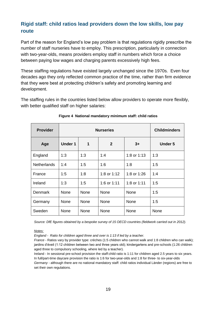## **Rigid staff: child ratios lead providers down the low skills, low pay route**

Part of the reason for England's low pay problem is that regulations rigidly prescribe the number of staff nurseries have to employ. This prescription, particularly in connection with two-year-olds, means providers employ staff in numbers which force a choice between paying low wages and charging parents excessively high fees.

These staffing regulations have existed largely unchanged since the 1970s. Even four decades ago they only reflected common practice of the time, rather than firm evidence that they were best at protecting children's safety and promoting learning and development.

The staffing rules in the countries listed below allow providers to operate more flexibly, with better qualified staff on higher salaries:

<span id="page-18-0"></span>

| <b>Provider</b>    |                | <b>Childminders</b> |              |               |                |
|--------------------|----------------|---------------------|--------------|---------------|----------------|
| Age                | <b>Under 1</b> | 1                   | $\mathbf{2}$ | $3+$          | <b>Under 5</b> |
| England            | 1:3            | 1:3                 | 1:4          | 1:8 or $1:13$ | 1:3            |
| <b>Netherlands</b> | 1:4            | 1:5                 | 1:6          | 1:8           | 1:5            |
| France             | 1:5            | 1:8                 | 1:8 or 1:12  | 1:8 or 1:26   | 1:4            |
| Ireland            | 1:3            | 1:5                 | 1:6 or 1:11  | 1:8 or 1:11   | 1:5            |
| <b>Denmark</b>     | None           | None                | None         | None          | 1:5            |
| Germany            | None           | None                | None         | None          | 1:5            |
| Sweden             | None           | None                | None         | None          | None           |

#### **Figure 4 National mandatory minimum staff: child ratios**

*Source: DfE figures obtained by a bespoke survey of 15 OECD countries (fieldwork carried out in 2012).*

*Notes:*

*England - Ratio for children aged three and over is 1:13 if led by a teacher.*

*France -* Ratios vary by provider type: crèches (1:5 children who cannot walk and 1:8 children who can walk); jardins d'éveil (1:12 children between two and three years old); kindergartens and pre-schools (1:26 children aged three to compulsory schooling, where led by a teacher).

Ireland - In sessional pre-school provision the staff:child ratio is 1:11 for children aged 2.5 years to six years. In full/part-time daycare provision the ratio is 1:6 for two-year-olds and 1:8 for three- to six-year-olds *Germany -* although there are no national mandatory staff: child ratios individual Länder (regions) are free to set their own regulations.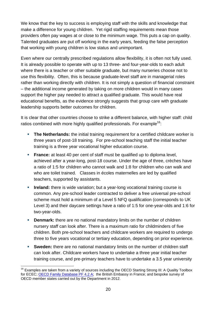We know that the key to success is emploving staff with the skills and knowledge that make a difference for young children. Yet rigid staffing requirements mean those providers often pay wages at or close to the minimum wage. This puts a cap on quality. Talented graduates are put off working in the early years, feeding the false perception that working with young children is low status and unimportant.

Even where our centrally prescribed regulations allow flexibility, it is often not fully used. It is already possible to operate with up to 13 three- and four-year-olds to each adult where there is a teacher or other suitable graduate, but many nurseries choose not to use this flexibility. Often, this is because graduate-level staff are in managerial roles rather than working directly with children. It is not simply a question of financial constraint – the additional income generated by taking on more children would in many cases support the higher pay needed to attract a qualified graduate. This would have real educational benefits, as the evidence strongly suggests that group care with graduate leadership supports better outcomes for children.

It is clear that other countries choose to strike a different balance, with higher staff: child ratios combined with more highly qualified professionals. For example<sup>16</sup>:

- **The Netherlands:** the initial training requirement for a certified childcare worker is three years of post-18 training. For pre-school teaching staff the initial teacher training is a three year vocational higher education course.
- **France:** at least 40 per cent of staff must be qualified up to diploma level, achieved after a year-long, post-18 course. Under the age of three, crèches have a ratio of 1:5 for children who cannot walk and 1:8 for children who can walk and who are toilet trained. Classes in écoles maternelles are led by qualified teachers, supported by assistants.
- **Ireland:** there is wide variation; but a year-long vocational training course is common. Any pre-school leader contracted to deliver a free universal pre-school scheme must hold a minimum of a Level 5 NFQ qualification (corresponds to UK Level 3) and their daycare settings have a ratio of 1:5 for one-year-olds and 1:6 for two-year-olds.
- **Denmark:** there are no national mandatory limits on the number of children nursery staff can look after. There is a maximum ratio for childminders of five children. Both pre-school teachers and childcare workers are required to undergo three to five years vocational or tertiary education, depending on prior experience.
- **Sweden:** there are no national mandatory limits on the number of children staff can look after. Childcare workers have to undertake a three year initial teacher training course, and pre-primary teachers have to undertake a 3.5 year university

 $\overline{a}$ <sup>16</sup> Examples are taken from a variety of sources including the OECD Starting Strong III: A Quality Toolbox for ECEC; [OECD Family Database PF 4.2 A;](http://www.oecd.org/social/socialpoliciesanddata/37864559.pdf) the British Embassy in France; and bespoke survey of OECD member states carried out by the Department in 2012.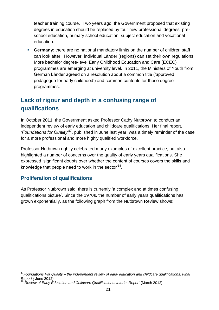teacher training course. Two years ago, the Government proposed that existing degrees in education should be replaced by four new professional degrees: preschool education, primary school education, subject education and vocational education.

 **Germany**: there are no national mandatory limits on the number of children staff can look after. However, individual Länder (regions) can set their own regulations. More bachelor degree-level Early Childhood Education and Care (ECEC) programmes are emerging at university level. In 2011, the Ministers of Youth from German Länder agreed on a resolution about a common title ('approved pedagogue for early childhood') and common contents for these degree programmes.

## **Lack of rigour and depth in a confusing range of qualifications**

In October 2011, the Government asked Professor Cathy Nutbrown to conduct an independent review of early education and childcare qualifications. Her final report, *'Foundations for Quality'<sup>17</sup>*, published in June last year, was a timely reminder of the case for a more professional and more highly qualified workforce.

Professor Nutbrown rightly celebrated many examples of excellent practice, but also highlighted a number of concerns over the quality of early years qualifications. She expressed 'significant doubts over whether the content of courses covers the skills and knowledge that people need to work in the sector'<sup>18</sup>.

## **Proliferation of qualifications**

 $\overline{a}$ 

As Professor Nutbrown said, there is currently 'a complex and at times confusing qualifications picture'. Since the 1970s, the number of early years qualifications has grown exponentially, as the following graph from the Nutbrown Review shows:

<sup>17</sup>*Foundations For Quality – the independent review of early education and childcare qualifications: Final Report (* June 2012)

<sup>18</sup> *Review of Early Education and Childcare Qualifications: Interim Report* (March 2012)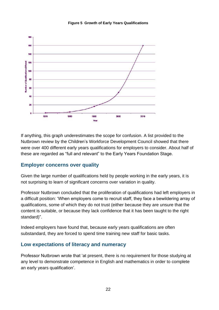<span id="page-21-0"></span>

#### **Figure 5 Growth of Early Years Qualifications**

If anything, this graph underestimates the scope for confusion. A list provided to the Nutbrown review by the Children's Workforce Development Council showed that there were over 400 different early years qualifications for employers to consider. About half of these are regarded as "full and relevant" to the Early Years Foundation Stage.

#### **Employer concerns over quality**

Given the large number of qualifications held by people working in the early years, it is not surprising to learn of significant concerns over variation in quality.

Professor Nutbrown concluded that the proliferation of qualifications had left employers in a difficult position: 'When employers come to recruit staff, they face a bewildering array of qualifications, some of which they do not trust (either because they are unsure that the content is suitable, or because they lack confidence that it has been taught to the right standard)".

Indeed employers have found that, because early years qualifications are often substandard, they are forced to spend time training new staff for basic tasks.

#### **Low expectations of literacy and numeracy**

Professor Nutbrown wrote that 'at present, there is no requirement for those studying at any level to demonstrate competence in English and mathematics in order to complete an early years qualification'.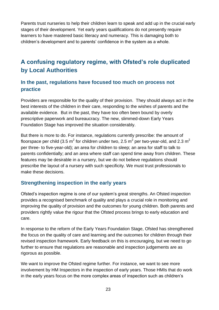Parents trust nurseries to help their children learn to speak and add up in the crucial early stages of their development. Yet early years qualifications do not presently require learners to have mastered basic literacy and numeracy. This is damaging both to children's development and to parents' confidence in the system as a whole.

# **A confusing regulatory regime, with Ofsted's role duplicated by Local Authorities**

## **In the past, regulations have focused too much on process not practice**

Providers are responsible for the quality of their provision. They should always act in the best interests of the children in their care, responding to the wishes of parents and the available evidence. But in the past, they have too often been bound by overly prescriptive paperwork and bureaucracy. The new, slimmed-down Early Years Foundation Stage has improved the situation considerably.

But there is more to do. For instance, regulations currently prescribe: the amount of floorspace per child (3.5 m $^2$  for children under two, 2.5 m $^2$  per two-year-old, and 2.3 m $^2$ per three- to five-year-old); an area for children to sleep; an area for staff to talk to parents confidentially; and an area where staff can spend time away from children. These features may be desirable in a nursery, but we do not believe regulations should prescribe the layout of a nursery with such specificity. We must trust professionals to make these decisions.

#### **Strengthening inspection in the early years**

Ofsted's inspection regime is one of our system's great strengths. An Ofsted inspection provides a recognised benchmark of quality and plays a crucial role in monitoring and improving the quality of provision and the outcomes for young children. Both parents and providers rightly value the rigour that the Ofsted process brings to early education and care.

In response to the reform of the Early Years Foundation Stage, Ofsted has strengthened the focus on the quality of care and learning and the outcomes for children through their revised inspection framework. Early feedback on this is encouraging, but we need to go further to ensure that regulations are reasonable and inspection judgements are as rigorous as possible.

We want to improve the Ofsted regime further. For instance, we want to see more involvement by HM Inspectors in the inspection of early years. Those HMIs that do work in the early years focus on the more complex areas of inspection such as children's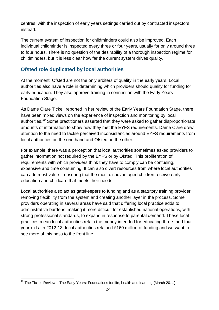centres, with the inspection of early years settings carried out by contracted inspectors instead.

The current system of inspection for childminders could also be improved. Each individual childminder is inspected every three or four years, usually for only around three to four hours. There is no question of the desirability of a thorough inspection regime for childminders, but it is less clear how far the current system drives quality.

## **Ofsted role duplicated by local authorities**

At the moment, Ofsted are not the only arbiters of quality in the early years. Local authorities also have a role in determining which providers should qualify for funding for early education. They also approve training in connection with the Early Years Foundation Stage.

As Dame Clare Tickell reported in her review of the Early Years Foundation Stage, there have been mixed views on the experience of inspection and monitoring by local authorities.<sup>19</sup> Some practitioners asserted that they were asked to gather disproportionate amounts of information to show how they met the EYFS requirements. Dame Clare drew attention to the need to tackle perceived inconsistencies around EYFS requirements from local authorities on the one hand and Ofsted on the other.

For example, there was a perception that local authorities sometimes asked providers to gather information not required by the EYFS or by Ofsted. This proliferation of requirements with which providers think they have to comply can be confusing, expensive and time consuming. It can also divert resources from where local authorities can add most value – ensuring that the most disadvantaged children receive early education and childcare that meets their needs.

Local authorities also act as gatekeepers to funding and as a statutory training provider, removing flexibility from the system and creating another layer in the process. Some providers operating in several areas have said that differing local practice adds to administrative burdens, making it more difficult for established national operations, with strong professional standards, to expand in response to parental demand. These local practices mean local authorities retain the money intended for educating three- and fouryear-olds. In 2012-13, local authorities retained £160 million of funding and we want to see more of this pass to the front line.

 $\overline{a}$  $19$  The Tickell Review – The Early Years: Foundations for life, health and learning (March 2011)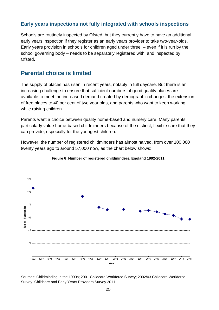#### **Early years inspections not fully integrated with schools inspections**

Schools are routinely inspected by Ofsted, but they currently have to have an additional early years inspection if they register as an early years provider to take two-year-olds. Early years provision in schools for children aged under three – even if it is run by the school governing body – needs to be separately registered with, and inspected by, Ofsted.

## **Parental choice is limited**

The supply of places has risen in recent years, notably in full daycare. But there is an increasing challenge to ensure that sufficient numbers of good quality places are available to meet the increased demand created by demographic changes, the extension of free places to 40 per cent of two year olds, and parents who want to keep working while raising children.

Parents want a choice between quality home-based and nursery care. Many parents particularly value home-based childminders because of the distinct, flexible care that they can provide, especially for the youngest children.

However, the number of registered childminders has almost halved, from over 100,000 twenty years ago to around 57,000 now, as the chart below shows:

<span id="page-24-0"></span>

#### **Figure 6 Number of registered childminders, England 1992-2011**

Sources: Childminding in the 1990s; 2001 Childcare Workforce Survey; 2002/03 Childcare Workforce Survey; Childcare and Early Years Providers Survey 2011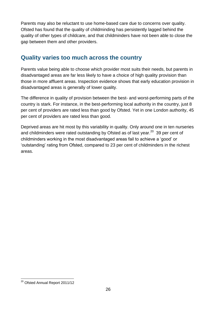Parents may also be reluctant to use home-based care due to concerns over quality. Ofsted has found that the quality of childminding has persistently lagged behind the quality of other types of childcare, and that childminders have not been able to close the gap between them and other providers.

## **Quality varies too much across the country**

Parents value being able to choose which provider most suits their needs, but parents in disadvantaged areas are far less likely to have a choice of high quality provision than those in more affluent areas. Inspection evidence shows that early education provision in disadvantaged areas is generally of lower quality.

The difference in quality of provision between the best- and worst-performing parts of the country is stark. For instance, in the best-performing local authority in the country, just 8 per cent of providers are rated less than good by Ofsted. Yet in one London authority, 45 per cent of providers are rated less than good.

Deprived areas are hit most by this variability in quality. Only around one in ten nurseries and childminders were rated outstanding by Ofsted as of last year.<sup>20</sup> 39 per cent of childminders working in the most disadvantaged areas fail to achieve a 'good' or 'outstanding' rating from Ofsted, compared to 23 per cent of childminders in the richest areas.

 $\overline{a}$ <sup>20</sup> Ofsted Annual Report 2011/12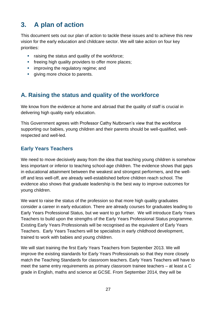# <span id="page-26-0"></span>**3. A plan of action**

This document sets out our plan of action to tackle these issues and to achieve this new vision for the early education and childcare sector. We will take action on four key priorities:

- **F** raising the status and quality of the workforce;
- **fi** freeing high quality providers to offer more places;
- **EXECUTE:** improving the regulatory regime; and
- <span id="page-26-1"></span>**giving more choice to parents.**

# **A. Raising the status and quality of the workforce**

We know from the evidence at home and abroad that the quality of staff is crucial in delivering high quality early education.

This Government agrees with Professor Cathy Nutbrown's view that the workforce supporting our babies, young children and their parents should be well-qualified, wellrespected and well-led.

## **Early Years Teachers**

We need to move decisively away from the idea that teaching young children is somehow less important or inferior to teaching school-age children. The evidence shows that gaps in educational attainment between the weakest and strongest performers, and the welloff and less well-off, are already well-established before children reach school. The evidence also shows that graduate leadership is the best way to improve outcomes for young children.

We want to raise the status of the profession so that more high quality graduates consider a career in early education. There are already courses for graduates leading to Early Years Professional Status, but we want to go further. We will introduce Early Years Teachers to build upon the strengths of the Early Years Professional Status programme. Existing Early Years Professionals will be recognised as the equivalent of Early Years Teachers.Early Years Teachers will be specialists in early childhood development, trained to work with babies and young children.

We will start training the first Early Years Teachers from September 2013. We will improve the existing standards for Early Years Professionals so that they more closely match the Teaching Standards for classroom teachers. Early Years Teachers will have to meet the same entry requirements as primary classroom trainee teachers – at least a C grade in English, maths and science at GCSE. From September 2014, they will be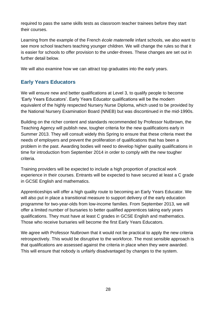required to pass the same skills tests as classroom teacher trainees before they start their courses.

Learning from the example of the French *école maternelle* infant schools, we also want to see more school teachers teaching younger children. We will change the rules so that it is easier for schools to offer provision to the under-threes. These changes are set out in further detail below.

We will also examine how we can attract top graduates into the early years.

## **Early Years Educators**

We will ensure new and better qualifications at Level 3, to qualify people to become 'Early Years Educators'. Early Years Educator qualifications will be the modern equivalent of the highly respected Nursery Nurse Diploma, which used to be provided by the National Nursery Examination Board (NNEB) but was discontinued in the mid-1990s.

Building on the richer content and standards recommended by Professor Nutbrown, the Teaching Agency will publish new, tougher criteria for the new qualifications early in Summer 2013. They will consult widely this Spring to ensure that these criteria meet the needs of employers and prevent the proliferation of qualifications that has been a problem in the past. Awarding bodies will need to develop higher quality qualifications in time for introduction from September 2014 in order to comply with the new tougher criteria.

Training providers will be expected to include a high proportion of practical work experience in their courses. Entrants will be expected to have secured at least a C grade in GCSE English and mathematics.

Apprenticeships will offer a high quality route to becoming an Early Years Educator. We will also put in place a transitional measure to support delivery of the early education programme for two-year-olds from low-income families. From September 2013, we will offer a limited number of bursaries to better qualified apprentices taking early years qualifications. They must have at least C grades in GCSE English and mathematics. Those who receive bursaries will become the first Early Years Educators.

We agree with Professor Nutbrown that it would not be practical to apply the new criteria retrospectively. This would be disruptive to the workforce. The most sensible approach is that qualifications are assessed against the criteria in place when they were awarded. This will ensure that nobody is unfairly disadvantaged by changes to the system.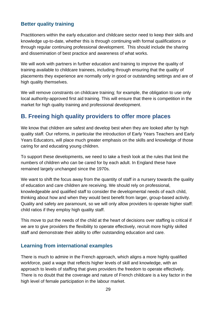## **Better quality training**

Practitioners within the early education and childcare sector need to keep their skills and knowledge up-to-date, whether this is through continuing with formal qualifications or through regular continuing professional development. This should include the sharing and dissemination of best practice and awareness of what works.

We will work with partners in further education and training to improve the quality of training available to childcare trainees, including through ensuring that the quality of placements they experience are normally only in good or outstanding settings and are of high quality themselves.

We will remove constraints on childcare training; for example, the obligation to use only local authority-approved first aid training. This will ensure that there is competition in the market for high quality training and professional development.

## <span id="page-28-0"></span>**B. Freeing high quality providers to offer more places**

We know that children are safest and develop best when they are looked after by high quality staff. Our reforms, in particular the introduction of Early Years Teachers and Early Years Educators, will place much greater emphasis on the skills and knowledge of those caring for and educating young children.

To support these developments, we need to take a fresh look at the rules that limit the numbers of children who can be cared for by each adult. In England these have remained largely unchanged since the 1970s.

We want to shift the focus away from the quantity of staff in a nursery towards the quality of education and care children are receiving. We should rely on professional, knowledgeable and qualified staff to consider the developmental needs of each child, thinking about how and when they would best benefit from larger, group-based activity. Quality and safety are paramount, so we will only allow providers to operate higher staff: child ratios if they employ high quality staff.

This move to put the needs of the child at the heart of decisions over staffing is critical if we are to give providers the flexibility to operate effectively, recruit more highly skilled staff and demonstrate their ability to offer outstanding education and care.

## **Learning from international examples**

There is much to admire in the French approach, which aligns a more highly qualified workforce, paid a wage that reflects higher levels of skill and knowledge, with an approach to levels of staffing that gives providers the freedom to operate effectively. There is no doubt that the coverage and nature of French childcare is a key factor in the high level of female participation in the labour market.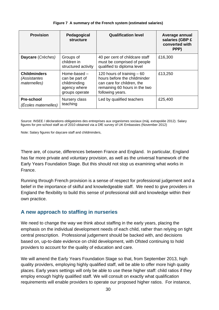#### **Figure 7 A summary of the French system (estimated salaries)**

<span id="page-29-0"></span>

| <b>Provision</b>                                    | Pedagogical<br><b>structure</b>                                                    | <b>Qualification level</b>                                                                                                                     | Average annual<br>salaries (GBP £<br>converted with<br>PPP) |
|-----------------------------------------------------|------------------------------------------------------------------------------------|------------------------------------------------------------------------------------------------------------------------------------------------|-------------------------------------------------------------|
| Daycare (Crèches)                                   | Groups of<br>children in<br>structured activity                                    | 40 per cent of childcare staff<br>must be comprised of people<br>qualified to diploma level                                                    | £16,300                                                     |
| <b>Childminders</b><br>(Assistantes<br>maternelles) | Home-based $-$<br>can be part of<br>childminding<br>agency where<br>groups operate | 120 hours of training $-60$<br>hours before the childminder<br>can care for children, the<br>remaining 60 hours in the two<br>following years. | £13,250                                                     |
| <b>Pre-school</b><br>(Ecoles maternelles)           | Nursery class<br>teaching                                                          | Led by qualified teachers                                                                                                                      | £25,400                                                     |

Source: INSEE / déclarations obligatoires des entreprises aux organismes sociaux (màj. extrapolée 2012). Salary figures for pre-school staff as of 2010 obtained via a DfE survey of UK Embassies (November 2012)

Note: Salary figures for daycare staff and childminders,

There are, of course, differences between France and England. In particular, England has far more private and voluntary provision, as well as the universal framework of the Early Years Foundation Stage. But this should not stop us examining what works in France.

Running through French provision is a sense of respect for professional judgement and a belief in the importance of skilful and knowledgeable staff. We need to give providers in England the flexibility to build this sense of professional skill and knowledge within their own practice.

#### **A new approach to staffing in nurseries**

We need to change the way we think about staffing in the early years, placing the emphasis on the individual development needs of each child, rather than relying on tight central prescription. Professional judgement should be backed with, and decisions based on, up-to-date evidence on child development, with Ofsted continuing to hold providers to account for the quality of education and care.

We will amend the Early Years Foundation Stage so that, from September 2013, high quality providers, employing highly qualified staff, will be able to offer more high quality places. Early years settings will only be able to use these higher staff: child ratios if they employ enough highly qualified staff. We will consult on exactly what qualification requirements will enable providers to operate our proposed higher ratios. For instance,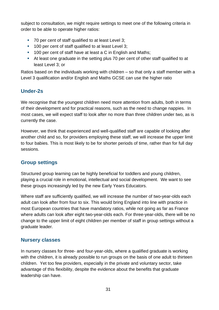subject to consultation, we might require settings to meet one of the following criteria in order to be able to operate higher ratios:

- 70 per cent of staff qualified to at least Level 3:
- <sup>1</sup> 100 per cent of staff qualified to at least Level 3;
- <sup>1</sup> 100 per cent of staff have at least a C in English and Maths;
- At least one graduate in the setting plus 70 per cent of other staff qualified to at least Level 3; or

Ratios based on the individuals working with children – so that only a staff member with a Level 3 qualification and/or English and Maths GCSE can use the higher ratio

## **Under-2s**

We recognise that the youngest children need more attention from adults, both in terms of their development and for practical reasons, such as the need to change nappies. In most cases, we will expect staff to look after no more than three children under two, as is currently the case.

However, we think that experienced and well-qualified staff are capable of looking after another child and so, for providers employing these staff, we will increase the upper limit to four babies. This is most likely to be for shorter periods of time, rather than for full day sessions.

## **Group settings**

Structured group learning can be highly beneficial for toddlers and young children, playing a crucial role in emotional, intellectual and social development. We want to see these groups increasingly led by the new Early Years Educators.

Where staff are sufficiently qualified, we will increase the number of two-year-olds each adult can look after from four to six. This would bring England into line with practice in most European countries that have mandatory ratios, while not going as far as France where adults can look after eight two-year-olds each. For three-year-olds, there will be no change to the upper limit of eight children per member of staff in group settings without a graduate leader.

## **Nursery classes**

In nursery classes for three- and four-year-olds, where a qualified graduate is working with the children, it is already possible to run groups on the basis of one adult to thirteen children. Yet too few providers, especially in the private and voluntary sector, take advantage of this flexibility, despite the evidence about the benefits that graduate leadership can have.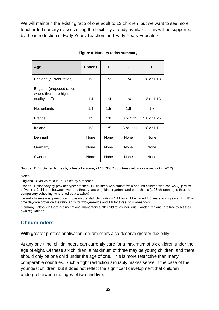We will maintain the existing ratio of one adult to 13 children, but we want to see more teacher-led nursery classes using the flexibility already available. This will be supported by the introduction of Early Years Teachers and Early Years Educators.

<span id="page-31-0"></span>

| Age                                                                | <b>Under 1</b> | 1    | $\mathbf{2}$ | $3+$        |
|--------------------------------------------------------------------|----------------|------|--------------|-------------|
| England (current ratios)                                           | 1:3            | 1:3  | 1:4          | 1:8 or 1:13 |
| England (proposed ratios<br>where there are high<br>quality staff) | 1:4            | 1:4  | 1:6          | 1:8 or 1:13 |
| <b>Netherlands</b>                                                 | 1:4            | 1:5  | 1:6          | 1:8         |
| France                                                             | 1:5            | 1:8  | 1:8 or 1:12  | 1:8 or 1:26 |
| Ireland                                                            | 1:3            | 1:5  | 1:6 or 1:11  | 1:8 or 1:11 |
| Denmark                                                            | None           | None | None         | <b>None</b> |
| Germany                                                            | None           | None | None         | None        |
| Sweden                                                             | None           | None | None         | None        |

#### **Figure 8 Nursery ratios summary**

Source: DfE obtained figures by a bespoke survey of 15 OECD countries (fieldwork carried out in 2012).

Notes:

England - Over-3s ratio is 1:13 if led by a teacher.

France - Ratios vary by provider type: crèches (1:5 children who cannot walk and 1:8 children who can walk); jardins d'éveil (1:12 children between two- and three-years-old); kindergartens and pre-schools (1:26 children aged three to compulsory schooling, where led by a teacher)

Ireland - In sessional pre-school provision the staff:child ratio is 1:11 for children aged 2.5 years to six years. In full/part time daycare provision the ratio is 1:6 for two-year-olds and 1:8 for three- to six-year-olds

Germany - although there are no national mandatory staff: child ratios individual Länder (regions) are free to set their own regulations.

## **Childminders**

With greater professionalisation, childminders also deserve greater flexibility.

At any one time, childminders can currently care for a maximum of six children under the age of eight. Of these six children, a maximum of three may be young children, and there should only be one child under the age of one. This is more restrictive than many comparable countries. Such a tight restriction arguably makes sense in the case of the youngest children, but it does not reflect the significant development that children undergo between the ages of two and five.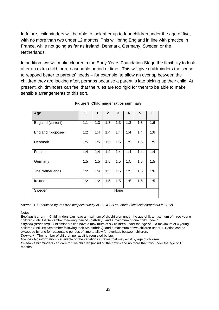In future, childminders will be able to look after up to four children under the age of five, with no more than two under 12 months. This will bring England in line with practice in France, while not going as far as Ireland, Denmark, Germany, Sweden or the Netherlands.

In addition, we will make clearer in the Early Years Foundation Stage the flexibility to look after an extra child for a reasonable period of time. This will give childminders the scope to respond better to parents' needs – for example, to allow an overlap between the children they are looking after, perhaps because a parent is late picking up their child. At present, childminders can feel that the rules are too rigid for them to be able to make sensible arrangements of this sort.

<span id="page-32-0"></span>

| Age                | 0   | 1   | $\overline{2}$ | 3    | 4   | 5   | 6   |
|--------------------|-----|-----|----------------|------|-----|-----|-----|
| England (current)  | 1:1 | 1:3 | 1:3            | 1:3  | 1:3 | 1:3 | 1:6 |
| England (proposed) | 1:2 | 1:4 | 1:4            | 1:4  | 1:4 | 1:4 | 1:6 |
| Denmark            | 1:5 | 1:5 | 1:5            | 1:5  | 1:5 | 1:5 | 1:5 |
| France             | 1:4 | 1:4 | 1:4            | 1:4  | 1:4 | 1:4 | 1:4 |
| Germany            | 1:5 | 1:5 | 1:5            | 1:5  | 1:5 | 1:5 | 1:5 |
| The Netherlands    | 1:2 | 1:4 | 1:5            | 1:5  | 1:5 | 1:6 | 1:6 |
| Ireland            | 1:2 | 1:2 | 1:5            | 1:5  | 1:5 | 1:5 | 1:5 |
| Sweden             |     |     |                | None |     |     |     |

#### **Figure 9 Childminder ratios summary**

*Source: DfE obtained figures by a bespoke survey of 15 OECD countries (fieldwork carried out in 2012).*

Notes:

*England (current)* - Childminders can have a maximum of six children under the age of 8, a maximum of three young children (until 1st September following their 5th birthday), and a maximum of one child under 1.

*England (proposed)* - Childminders can have a maximum of six children under the age of 8, a maximum of 4 young children (until 1st September following their 5th birthday), and a maximum of two children under 1. Ratios can be exceeded by one for reasonable periods of time to allow for overlaps between children.

*Denmark* - The number of children per adult is regulated by law.

*France* - No information is available on the variations in ratios that may exist by age of children.

*Ireland* - Childminders can care for five children (including their own) and no more than two under the age of 15 months.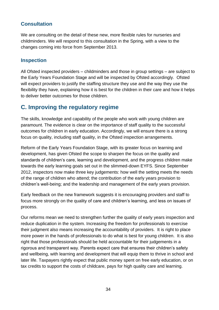## **Consultation**

We are consulting on the detail of these new, more flexible rules for nurseries and childminders. We will respond to this consultation in the Spring, with a view to the changes coming into force from September 2013.

#### **Inspection**

All Ofsted inspected providers – childminders and those in group settings – are subject to the Early Years Foundation Stage and will be inspected by Ofsted accordingly. Ofsted will expect providers to justify the staffing structure they use and the way they use the flexibility they have, explaining how it is best for the children in their care and how it helps to deliver better outcomes for those children.

## <span id="page-33-0"></span>**C. Improving the regulatory regime**

The skills, knowledge and capability of the people who work with young children are paramount. The evidence is clear on the importance of staff quality to the successful outcomes for children in early education. Accordingly, we will ensure there is a strong focus on quality, including staff quality, in the Ofsted inspection arrangements.

Reform of the Early Years Foundation Stage, with its greater focus on learning and development, has given Ofsted the scope to sharpen the focus on the quality and standards of children's care, learning and development, and the progress children make towards the early learning goals set out in the slimmed-down EYFS. Since September 2012, inspectors now make three key judgements: how well the setting meets the needs of the range of children who attend; the contribution of the early years provision to children's well-being; and the leadership and management of the early years provision.

Early feedback on the new framework suggests it is encouraging providers and staff to focus more strongly on the quality of care and children's learning, and less on issues of process.

Our reforms mean we need to strengthen further the quality of early years inspection and reduce duplication in the system. Increasing the freedom for professionals to exercise their judgment also means increasing the accountability of providers. It is right to place more power in the hands of professionals to do what is best for young children. It is also right that those professionals should be held accountable for their judgements in a rigorous and transparent way. Parents expect care that ensures their children's safety and wellbeing, with learning and development that will equip them to thrive in school and later life. Taxpayers rightly expect that public money spent on free early education, or on tax credits to support the costs of childcare, pays for high quality care and learning.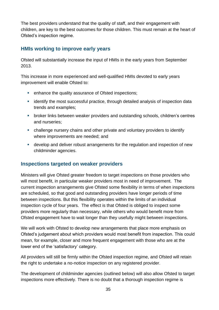The best providers understand that the quality of staff, and their engagement with children, are key to the best outcomes for those children. This must remain at the heart of Ofsted's inspection regime.

#### **HMIs working to improve early years**

Ofsted will substantially increase the input of HMIs in the early years from September 2013.

This increase in more experienced and well-qualified HMIs devoted to early years improvement will enable Ofsted to:

- **EXECUTE:** enhance the quality assurance of Ofsted inspections;
- **EXECT** identify the most successful practice, through detailed analysis of inspection data trends and examples;
- broker links between weaker providers and outstanding schools, children's centres and nurseries;
- challenge nursery chains and other private and voluntary providers to identify where improvements are needed; and
- develop and deliver robust arrangements for the regulation and inspection of new childminder agencies.

## **Inspections targeted on weaker providers**

Ministers will give Ofsted greater freedom to target inspections on those providers who will most benefit, in particular weaker providers most in need of improvement. The current inspection arrangements give Ofsted some flexibility in terms of when inspections are scheduled, so that good and outstanding providers have longer periods of time between inspections. But this flexibility operates within the limits of an individual inspection cycle of four years. The effect is that Ofsted is obliged to inspect some providers more regularly than necessary, while others who would benefit more from Ofsted engagement have to wait longer than they usefully might between inspections.

We will work with Ofsted to develop new arrangements that place more emphasis on Ofsted's judgement about which providers would most benefit from inspection. This could mean, for example, closer and more frequent engagement with those who are at the lower end of the 'satisfactory' category.

All providers will still be firmly within the Ofsted inspection regime, and Ofsted will retain the right to undertake a no-notice inspection on any registered provider.

The development of childminder agencies (outlined below) will also allow Ofsted to target inspections more effectively. There is no doubt that a thorough inspection regime is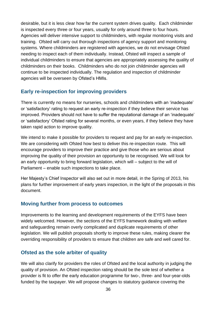desirable, but it is less clear how far the current system drives quality. Each childminder is inspected every three or four years, usually for only around three to four hours. Agencies will deliver intensive support to childminders, with regular monitoring visits and training. Ofsted will carry out thorough inspections of agency support and monitoring systems. Where childminders are registered with agencies, we do not envisage Ofsted needing to inspect each of them individually. Instead, Ofsted will inspect a sample of individual childminders to ensure that agencies are appropriately assessing the quality of childminders on their books. Childminders who do not join childminder agencies will continue to be inspected individually. The regulation and inspection of childminder agencies will be overseen by Ofsted's HMIs.

## **Early re-inspection for improving providers**

There is currently no means for nurseries, schools and childminders with an 'inadequate' or 'satisfactory' rating to request an early re-inspection if they believe their service has improved. Providers should not have to suffer the reputational damage of an 'inadequate' or 'satisfactory' Ofsted rating for several months, or even years, if they believe they have taken rapid action to improve quality.

We intend to make it possible for providers to request and pay for an early re-inspection. We are considering with Ofsted how best to deliver this re-inspection route. This will encourage providers to improve their practice and give those who are serious about improving the quality of their provision an opportunity to be recognised. We will look for an early opportunity to bring forward legislation, which will – subject to the will of Parliament – enable such inspections to take place.

Her Majesty's Chief Inspector will also set out in more detail, in the Spring of 2013, his plans for further improvement of early years inspection, in the light of the proposals in this document.

#### **Moving further from process to outcomes**

Improvements to the learning and development requirements of the EYFS have been widely welcomed. However, the sections of the EYFS framework dealing with welfare and safeguarding remain overly complicated and duplicate requirements of other legislation. We will publish proposals shortly to improve these rules, making clearer the overriding responsibility of providers to ensure that children are safe and well cared for.

## **Ofsted as the sole arbiter of quality**

We will also clarify for providers the roles of Ofsted and the local authority in judging the quality of provision. An Ofsted inspection rating should be the sole test of whether a provider is fit to offer the early education programme for two-, three- and four-year-olds funded by the taxpayer. We will propose changes to statutory guidance covering the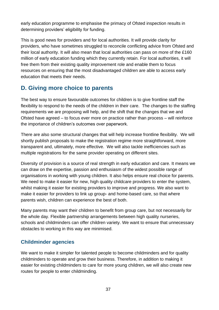early education programme to emphasise the primacy of Ofsted inspection results in determining providers' eligibility for funding.

This is good news for providers and for local authorities. It will provide clarity for providers, who have sometimes struggled to reconcile conflicting advice from Ofsted and their local authority. It will also mean that local authorities can pass on more of the £160 million of early education funding which they currently retain. For local authorities, it will free them from their existing quality improvement role and enable them to focus resources on ensuring that the most disadvantaged children are able to access early education that meets their needs.

## <span id="page-36-0"></span>**D. Giving more choice to parents**

The best way to ensure favourable outcomes for children is to give frontline staff the flexibility to respond to the needs of the children in their care. The changes to the staffing requirements we are proposing will help, and the shift that the changes that we and Ofsted have agreed – to focus ever more on practice rather than process – will reinforce the importance of children's outcomes over paperwork.

There are also some structural changes that will help increase frontline flexibility. We will shortly publish proposals to make the registration regime more straightforward, more transparent and, ultimately, more effective. We will also tackle inefficiencies such as multiple registrations for the same provider operating on different sites.

Diversity of provision is a source of real strength in early education and care. It means we can draw on the expertise, passion and enthusiasm of the widest possible range of organisations in working with young children. It also helps ensure real choice for parents. We need to make it easier for new, high quality childcare providers to enter the system, whilst making it easier for existing providers to improve and progress. We also want to make it easier for providers to link up group- and home-based care, so that where parents wish, children can experience the best of both.

Many parents may want their children to benefit from group care, but not necessarily for the whole day. Flexible partnership arrangements between high quality nurseries, schools and childminders can offer children variety. We want to ensure that unnecessary obstacles to working in this way are minimised.

## **Childminder agencies**

We want to make it simpler for talented people to become childminders and for quality childminders to operate and grow their business. Therefore, in addition to making it easier for existing childminders to care for more young children, we will also create new routes for people to enter childminding.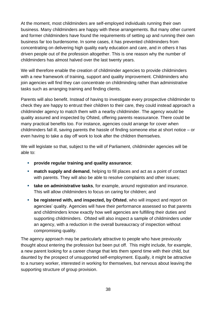At the moment, most childminders are self-employed individuals running their own business. Many childminders are happy with these arrangements. But many other current and former childminders have found the requirements of setting up and running their own business far too burdensome. In some cases, it has prevented childminders from concentrating on delivering high quality early education and care, and in others it has driven people out of the profession altogether. This is one reason why the number of childminders has almost halved over the last twenty years.

We will therefore enable the creation of childminder agencies to provide childminders with a new framework of training, support and quality improvement. Childminders who join agencies will find they can concentrate on childminding rather than administrative tasks such as arranging training and finding clients.

Parents will also benefit. Instead of having to investigate every prospective childminder to check they are happy to entrust their children to their care, they could instead approach a childminder agency to match them with a nearby childminder. The agency would be quality assured and inspected by Ofsted, offering parents reassurance. There could be many practical benefits too. For instance, agencies could arrange for cover when childminders fall ill, saving parents the hassle of finding someone else at short notice – or even having to take a day off work to look after the children themselves.

We will legislate so that, subject to the will of Parliament, childminder agencies will be able to:

- **provide regular training and quality assurance**;
- **match supply and demand**, helping to fill places and act as a point of contact with parents. They will also be able to resolve complaints and other issues;
- **take on administrative tasks**, for example, around registration and insurance. This will allow childminders to focus on caring for children; and
- **be registered with, and inspected, by Ofsted**, who will inspect and report on agencies' quality. Agencies will have their performance assessed so that parents and childminders know exactly how well agencies are fulfilling their duties and supporting childminders. Ofsted will also inspect a sample of childminders under an agency, with a reduction in the overall bureaucracy of inspection without compromising quality.

The agency approach may be particularly attractive to people who have previously thought about entering the profession but been put off. This might include, for example, a new parent looking for a career change that lets them spend time with their child, but daunted by the prospect of unsupported self-employment. Equally, it might be attractive to a nursery worker, interested in working for themselves, but nervous about leaving the supporting structure of group provision.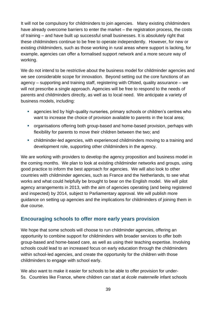It will not be compulsory for childminders to join agencies. Many existing childminders have already overcome barriers to enter the market – the registration process, the costs of training – and have built up successful small businesses. It is absolutely right that these childminders continue to be free to operate independently. However, for new or existing childminders, such as those working in rural areas where support is lacking, for example, agencies can offer a formalised support network and a more secure way of working.

We do not intend to be restrictive about the business model for childminder agencies and we see considerable scope for innovation. Beyond setting out the core functions of an agency – supporting and training staff, registering with Ofsted, quality assurance – we will not prescribe a single approach. Agencies will be free to respond to the needs of parents and childminders directly, as well as to local need. We anticipate a variety of business models, including:

- agencies led by high-quality nurseries, primary schools or children's centres who want to increase the choice of provision available to parents in the local area;
- organisations offering both group-based and home-based provision, perhaps with flexibility for parents to move their children between the two; and
- childminder-led agencies, with experienced childminders moving to a training and development role, supporting other childminders in the agency.

We are working with providers to develop the agency proposition and business model in the coming months. We plan to look at existing childminder networks and groups, using good practice to inform the best approach for agencies. We will also look to other countries with childminder agencies, such as France and the Netherlands, to see what works and what could helpfully be brought to bear on the English model. We will pilot agency arrangements in 2013, with the aim of agencies operating (and being registered and inspected) by 2014, subject to Parliamentary approval. We will publish more guidance on setting up agencies and the implications for childminders of joining them in due course.

#### **Encouraging schools to offer more early years provision**

We hope that some schools will choose to run childminder agencies, offering an opportunity to combine support for childminders with broader services to offer both group-based and home-based care, as well as using their teaching expertise. Involving schools could lead to an increased focus on early education through the childminders within school-led agencies, and create the opportunity for the children with those childminders to engage with school early.

We also want to make it easier for schools to be able to offer provision for under-5s. Countries like France, where children can start at *école maternelle* infant schools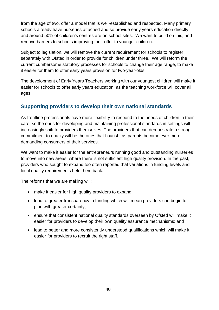from the age of two, offer a model that is well-established and respected. Many primary schools already have nurseries attached and so provide early years education directly, and around 50% of children's centres are on school sites. We want to build on this, and remove barriers to schools improving their offer to younger children.

Subject to legislation, we will remove the current requirement for schools to register separately with Ofsted in order to provide for children under three. We will reform the current cumbersome statutory processes for schools to change their age range, to make it easier for them to offer early years provision for two-year-olds.

The development of Early Years Teachers working with our youngest children will make it easier for schools to offer early years education, as the teaching workforce will cover all ages.

## **Supporting providers to develop their own national standards**

As frontline professionals have more flexibility to respond to the needs of children in their care, so the onus for developing and maintaining professional standards in settings will increasingly shift to providers themselves. The providers that can demonstrate a strong commitment to quality will be the ones that flourish, as parents become ever more demanding consumers of their services.

We want to make it easier for the entrepreneurs running good and outstanding nurseries to move into new areas, where there is not sufficient high quality provision. In the past, providers who sought to expand too often reported that variations in funding levels and local quality requirements held them back.

The reforms that we are making will:

- make it easier for high quality providers to expand;
- lead to greater transparency in funding which will mean providers can begin to plan with greater certainty;
- ensure that consistent national quality standards overseen by Ofsted will make it easier for providers to develop their own quality assurance mechanisms; and
- lead to better and more consistently understood qualifications which will make it easier for providers to recruit the right staff.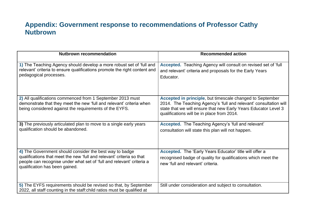# **Appendix: Government response to recommendations of Professor Cathy Nutbrown**

<span id="page-40-0"></span>

| <b>Nutbrown recommendation</b>                                                                                                                                                                                                              | <b>Recommended action</b>                                                                                                                                                                                                                       |
|---------------------------------------------------------------------------------------------------------------------------------------------------------------------------------------------------------------------------------------------|-------------------------------------------------------------------------------------------------------------------------------------------------------------------------------------------------------------------------------------------------|
| 1) The Teaching Agency should develop a more robust set of 'full and<br>relevant' criteria to ensure qualifications promote the right content and<br>pedagogical processes.                                                                 | Accepted. Teaching Agency will consult on revised set of 'full<br>and relevant' criteria and proposals for the Early Years<br>Educator.                                                                                                         |
| 2) All qualifications commenced from 1 September 2013 must<br>demonstrate that they meet the new 'full and relevant' criteria when<br>being considered against the requirements of the EYFS.                                                | Accepted in principle, but timescale changed to September<br>2014. The Teaching Agency's 'full and relevant' consultation will<br>state that we will ensure that new Early Years Educator Level 3<br>qualifications will be in place from 2014. |
| 3) The previously articulated plan to move to a single early years<br>qualification should be abandoned.                                                                                                                                    | Accepted. The Teaching Agency's 'full and relevant'<br>consultation will state this plan will not happen.                                                                                                                                       |
| 4) The Government should consider the best way to badge<br>qualifications that meet the new 'full and relevant' criteria so that<br>people can recognise under what set of 'full and relevant' criteria a<br>qualification has been gained. | Accepted. The 'Early Years Educator' title will offer a<br>recognised badge of quality for qualifications which meet the<br>new 'full and relevant' criteria.                                                                                   |
| 5) The EYFS requirements should be revised so that, by September<br>2022, all staff counting in the staff: child ratios must be qualified at                                                                                                | Still under consideration and subject to consultation.                                                                                                                                                                                          |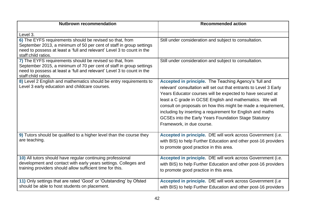| <b>Nutbrown recommendation</b>                                                                                                                                                                                                   | <b>Recommended action</b>                                                                                                                                                                                                                                                                                                                                                                                                                                                   |
|----------------------------------------------------------------------------------------------------------------------------------------------------------------------------------------------------------------------------------|-----------------------------------------------------------------------------------------------------------------------------------------------------------------------------------------------------------------------------------------------------------------------------------------------------------------------------------------------------------------------------------------------------------------------------------------------------------------------------|
| Level 3.                                                                                                                                                                                                                         |                                                                                                                                                                                                                                                                                                                                                                                                                                                                             |
| 6) The EYFS requirements should be revised so that, from<br>September 2013, a minimum of 50 per cent of staff in group settings<br>need to possess at least a 'full and relevant' Level 3 to count in the<br>staff:child ratios. | Still under consideration and subject to consultation.                                                                                                                                                                                                                                                                                                                                                                                                                      |
| 7) The EYFS requirements should be revised so that, from<br>September 2015, a minimum of 70 per cent of staff in group settings<br>need to possess at least a 'full and relevant' Level 3 to count in the<br>staff:child ratios. | Still under consideration and subject to consultation.                                                                                                                                                                                                                                                                                                                                                                                                                      |
| 8) Level 2 English and mathematics should be entry requirements to<br>Level 3 early education and childcare courses.                                                                                                             | Accepted in principle. The Teaching Agency's 'full and<br>relevant' consultation will set out that entrants to Level 3 Early<br>Years Educator courses will be expected to have secured at<br>least a C grade in GCSE English and mathematics. We will<br>consult on proposals on how this might be made a requirement,<br>including by inserting a requirement for English and maths<br>GCSEs into the Early Years Foundation Stage Statutory<br>Framework, in due course. |
| 9) Tutors should be qualified to a higher level than the course they<br>are teaching.                                                                                                                                            | Accepted in principle. DfE will work across Government (i.e.<br>with BIS) to help Further Education and other post-16 providers<br>to promote good practice in this area.                                                                                                                                                                                                                                                                                                   |
| 10) All tutors should have regular continuing professional<br>development and contact with early years settings. Colleges and<br>training providers should allow sufficient time for this.                                       | Accepted in principle. DfE will work across Government (i.e.<br>with BIS) to help Further Education and other post-16 providers<br>to promote good practice in this area.                                                                                                                                                                                                                                                                                                   |
| 11) Only settings that are rated 'Good' or 'Outstanding' by Ofsted<br>should be able to host students on placement.                                                                                                              | Accepted in principle. DfE will work across Government (i.e.<br>with BIS) to help Further Education and other post-16 providers                                                                                                                                                                                                                                                                                                                                             |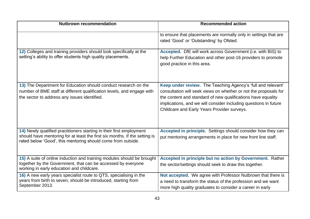| <b>Nutbrown recommendation</b>                                                                                                                                                                                     | <b>Recommended action</b>                                                                                                                                                                                                                                                                                           |
|--------------------------------------------------------------------------------------------------------------------------------------------------------------------------------------------------------------------|---------------------------------------------------------------------------------------------------------------------------------------------------------------------------------------------------------------------------------------------------------------------------------------------------------------------|
|                                                                                                                                                                                                                    | to ensure that placements are normally only in settings that are<br>rated 'Good' or 'Outstanding' by Ofsted.                                                                                                                                                                                                        |
| 12) Colleges and training providers should look specifically at the<br>setting's ability to offer students high quality placements.                                                                                | Accepted. DfE will work across Government (i.e. with BIS) to<br>help Further Education and other post-16 providers to promote<br>good practice in this area.                                                                                                                                                        |
| 13) The Department for Education should conduct research on the<br>number of BME staff at different qualification levels, and engage with<br>the sector to address any issues identified.                          | Keep under review. The Teaching Agency's 'full and relevant'<br>consultation will seek views on whether or not the proposals for<br>the content and standard of new qualifications have equality<br>implications, and we will consider including questions in future<br>Childcare and Early Years Provider surveys. |
| 14) Newly qualified practitioners starting in their first employment<br>should have mentoring for at least the first six months. If the setting is<br>rated below 'Good', this mentoring should come from outside. | Accepted in principle. Settings should consider how they can<br>put mentoring arrangements in place for new front line staff.                                                                                                                                                                                       |
| 15) A suite of online induction and training modules should be brought<br>together by the Government, that can be accessed by everyone<br>working in early education and childcare.                                | Accepted in principle but no action by Government. Rather<br>the sector/settings should seek to draw this together.                                                                                                                                                                                                 |
| 16) A new early years specialist route to QTS, specialising in the<br>years from birth to seven, should be introduced, starting from<br>September 2013.                                                            | Not accepted. We agree with Professor Nutbrown that there is<br>a need to transform the status of the profession and we want<br>more high quality graduates to consider a career in early                                                                                                                           |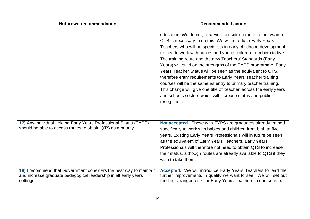| <b>Nutbrown recommendation</b>                                                                                                                     | <b>Recommended action</b>                                                                                                                                                                                                                                                                                                                                                                                                                                                                                                                                                                                                                                                                                                                                   |
|----------------------------------------------------------------------------------------------------------------------------------------------------|-------------------------------------------------------------------------------------------------------------------------------------------------------------------------------------------------------------------------------------------------------------------------------------------------------------------------------------------------------------------------------------------------------------------------------------------------------------------------------------------------------------------------------------------------------------------------------------------------------------------------------------------------------------------------------------------------------------------------------------------------------------|
|                                                                                                                                                    | education. We do not, however, consider a route to the award of<br>QTS is necessary to do this. We will introduce Early Years<br>Teachers who will be specialists in early childhood development<br>trained to work with babies and young children from birth to five.<br>The training route and the new Teachers' Standards (Early<br>Years) will build on the strengths of the EYPS programme. Early<br>Years Teacher Status will be seen as the equivalent to QTS,<br>therefore entry requirements to Early Years Teacher training<br>courses will be the same as entry to primary teacher training.<br>This change will give one title of 'teacher' across the early years<br>and schools sectors which will increase status and public<br>recognition. |
| 17) Any individual holding Early Years Professional Status (EYPS)<br>should be able to access routes to obtain QTS as a priority.                  | Not accepted. Those with EYPS are graduates already trained<br>specifically to work with babies and children from birth to five<br>years. Existing Early Years Professionals will in future be seen<br>as the equivalent of Early Years Teachers. Early Years<br>Professionals will therefore not need to obtain QTS to increase<br>their status, although routes are already available to QTS if they<br>wish to take them.                                                                                                                                                                                                                                                                                                                                |
| 18) I recommend that Government considers the best way to maintain<br>and increase graduate pedagogical leadership in all early years<br>settings. | Accepted. We will introduce Early Years Teachers to lead the<br>further improvements in quality we want to see. We will set out<br>funding arrangements for Early Years Teachers in due course.                                                                                                                                                                                                                                                                                                                                                                                                                                                                                                                                                             |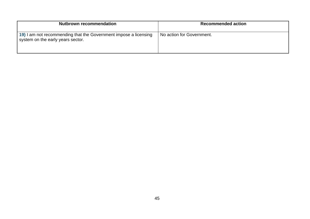| <b>Nutbrown recommendation</b>                                                                        | <b>Recommended action</b> |
|-------------------------------------------------------------------------------------------------------|---------------------------|
| 19) I am not recommending that the Government impose a licensing<br>system on the early years sector. | No action for Government. |